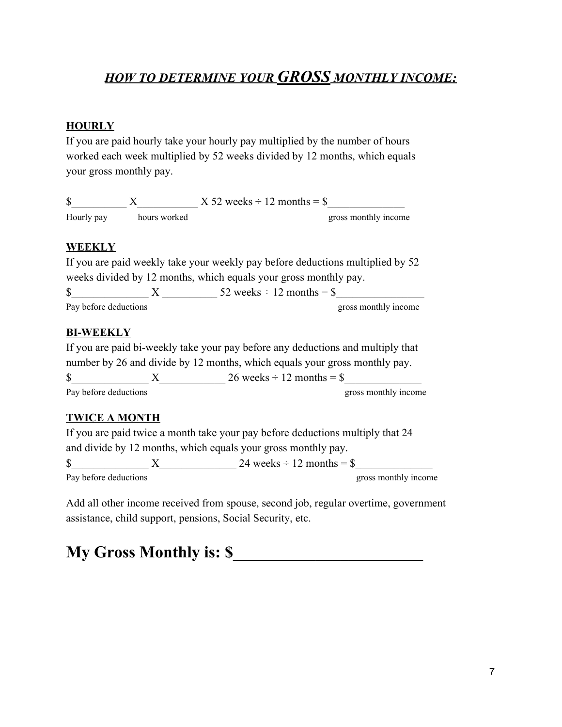## *HOW TO DETERMINE YOUR GROSS MONTHLY INCOME:*

#### **HOURLY**

If you are paid hourly take your hourly pay multiplied by the number of hours worked each week multiplied by 52 weeks divided by 12 months, which equals your gross monthly pay.

| ∩          |              | $X 52$ weeks ÷ 12 months = \$ |                      |
|------------|--------------|-------------------------------|----------------------|
| Hourly pay | hours worked |                               | gross monthly income |

#### **WEEKLY**

If you are paid weekly take your weekly pay before deductions multiplied by 52 weeks divided by 12 months, which equals your gross monthly pay.  $\text{S}$   $\text{X}$   $\text{52 weeks} \div 12 \text{ months} = \$$ Pay before deductions gross monthly income

#### **BI-WEEKLY**

If you are paid bi-weekly take your pay before any deductions and multiply that number by 26 and divide by 12 months, which equals your gross monthly pay.  $\text{S}$   $\text{X}$   $\text{Z}6$  weeks ÷ 12 months = \$ Pay before deductions gross monthly income

#### **TWICE A MONTH**

If you are paid twice a month take your pay before deductions multiply that 24 and divide by 12 months, which equals your gross monthly pay.

 $\text{\AA}$   $\text{\AA}$   $\text{X}$   $\text{24 weeks} \div 12 \text{ months} = \text{\AA}$ Pay before deductions and the set of the set of the set of the set of the set of the set of the set of the set of the set of the set of the set of the set of the set of the set of the set of the set of the set of the set o

Add all other income received from spouse, second job, regular overtime, government assistance, child support, pensions, Social Security, etc.

# **My Gross Monthly is: \$\_\_\_\_\_\_\_\_\_\_\_\_\_\_\_\_\_\_\_\_\_\_\_**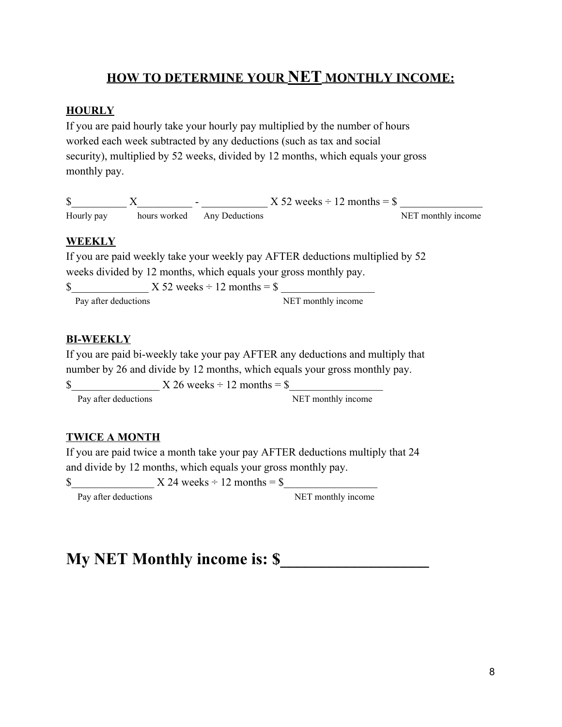## **HOW TO DETERMINE YOUR NET MONTHLY INCOME:**

#### **HOURLY**

If you are paid hourly take your hourly pay multiplied by the number of hours worked each week subtracted by any deductions (such as tax and social security), multiplied by 52 weeks, divided by 12 months, which equals your gross monthly pay.

|            |  | $X$ 52 weeks ÷ 12 months = \$ |  |                    |
|------------|--|-------------------------------|--|--------------------|
| Hourly pay |  | hours worked Any Deductions   |  | NET monthly income |

#### **WEEKLY**

If you are paid weekly take your weekly pay AFTER deductions multiplied by 52 weeks divided by 12 months, which equals your gross monthly pay.

 $\text{\$}$   $\text{\$}$   $\text{\$}$   $\text{\$}$   $\text{\$}$   $\text{\$}$   $\text{\$}$   $\text{\$}$   $\text{\$}$   $\text{\$}$   $\text{\$}$   $\text{\$}$   $\text{\$}$   $\text{\$}$   $\text{\$}$   $\text{\$}$   $\text{\$}$   $\text{\$}$   $\text{\$}$   $\text{\$}$   $\text{\$}$   $\text{\$}$   $\text{\$}$   $\text{\$}$   $\text{\$}$   $\text{\$}$   $\text{\$}$   $\text{\$$ 

Pay after deductions NET monthly income

#### **BI-WEEKLY**

If you are paid bi-weekly take your pay AFTER any deductions and multiply that number by 26 and divide by 12 months, which equals your gross monthly pay.

 $\text{\$}$   $\text{\$}$   $\text{\$}$   $\text{\$}$   $\text{\$}$   $\text{\$}$   $\text{\$}$   $\text{\$}$   $\text{\$}$   $\text{\$}$   $\text{\$}$   $\text{\$}$   $\text{\$}$   $\text{\$}$   $\text{\$}$   $\text{\$}$   $\text{\$}$   $\text{\$}$   $\text{\$}$   $\text{\$}$   $\text{\$}$   $\text{\$}$   $\text{\$}$   $\text{\$}$   $\text{\$}$   $\text{\$}$   $\text{\$}$   $\text{\$$ 

Pay after deductions NET monthly income

#### **TWICE A MONTH**

If you are paid twice a month take your pay AFTER deductions multiply that 24 and divide by 12 months, which equals your gross monthly pay.

 $\text{\$}$   $\text{\$}$   $\text{\$}$   $\text{\$}$   $\text{\$}$   $\text{\$}$   $\text{\$}$   $\text{\$}$   $\text{\$}$   $\text{\$}$   $\text{\$}$   $\text{\$}$   $\text{\$}$   $\text{\$}$   $\text{\$}$   $\text{\$}$   $\text{\$}$   $\text{\$}$   $\text{\$}$   $\text{\$}$   $\text{\$}$   $\text{\$}$   $\text{\$}$   $\text{\$}$   $\text{\$}$   $\text{\$}$   $\text{\$}$   $\text{\$$ 

Pay after deductions NET monthly income

# **My NET Monthly income is: \$\_\_\_\_\_\_\_\_\_\_\_\_\_\_\_\_\_\_**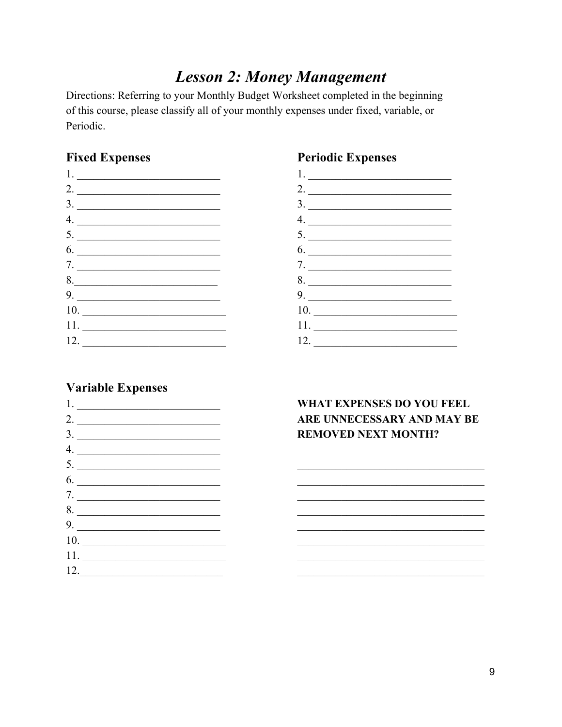# **Lesson 2: Money Management**

Directions: Referring to your Monthly Budget Worksheet completed in the beginning of this course, please classify all of your monthly expenses under fixed, variable, or Periodic.

#### **Fixed Expenses**

| $\frac{1}{1}$      |  |
|--------------------|--|
| 2. $\qquad \qquad$ |  |
|                    |  |
| 4                  |  |
| 5.                 |  |
| 6.                 |  |
| 7.                 |  |
| 8.                 |  |
| 9.                 |  |
| 10.                |  |
|                    |  |
| 12.                |  |

### **Periodic Expenses**



#### **Variable Expenses**

|     | 3.           |
|-----|--------------|
|     | 4.           |
|     | 5.           |
|     | 6.           |
|     | 7.           |
|     | 8.           |
|     | 9.           |
|     | 10.          |
|     | 11. $\qquad$ |
| 12. |              |

#### **WHAT EXPENSES DO YOU FEEL** ARE UNNECESSARY AND MAY BE **REMOVED NEXT MONTH?**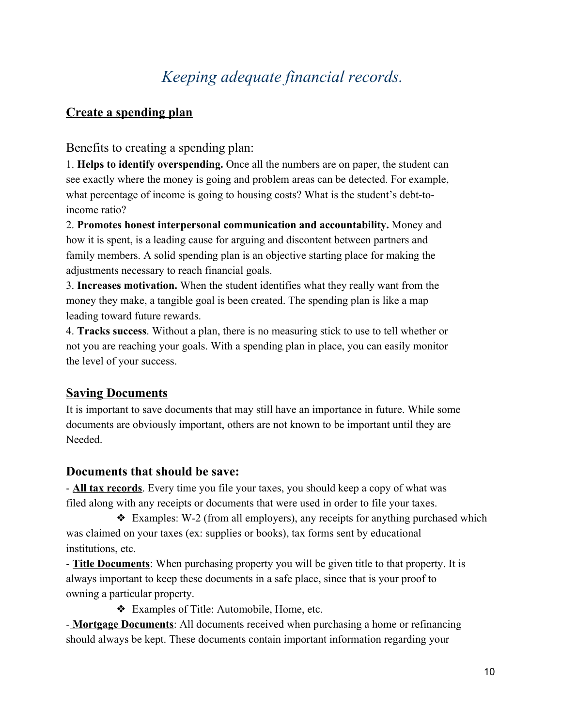# *Keeping adequate financial records.*

### **Create a spending plan**

Benefits to creating a spending plan:

1. **Helps to identify overspending.** Once all the numbers are on paper, the student can see exactly where the money is going and problem areas can be detected. For example, what percentage of income is going to housing costs? What is the student's debt-toincome ratio?

2. **Promotes honest interpersonal communication and accountability.** Money and how it is spent, is a leading cause for arguing and discontent between partners and family members. A solid spending plan is an objective starting place for making the adjustments necessary to reach financial goals.

3. **Increases motivation.** When the student identifies what they really want from the money they make, a tangible goal is been created. The spending plan is like a map leading toward future rewards.

4. **Tracks success**. Without a plan, there is no measuring stick to use to tell whether or not you are reaching your goals. With a spending plan in place, you can easily monitor the level of your success.

## **Saving Documents**

It is important to save documents that may still have an importance in future. While some documents are obviously important, others are not known to be important until they are Needed.

#### **Documents that should be save:**

- **All tax records**. Every time you file your taxes, you should keep a copy of what was filed along with any receipts or documents that were used in order to file your taxes.

 $\triangleleft$  Examples: W-2 (from all employers), any receipts for anything purchased which was claimed on your taxes (ex: supplies or books), tax forms sent by educational institutions, etc.

- **Title Documents**: When purchasing property you will be given title to that property. It is always important to keep these documents in a safe place, since that is your proof to owning a particular property.

❖ Examples of Title: Automobile, Home, etc.

- **Mortgage Documents**: All documents received when purchasing a home or refinancing should always be kept. These documents contain important information regarding your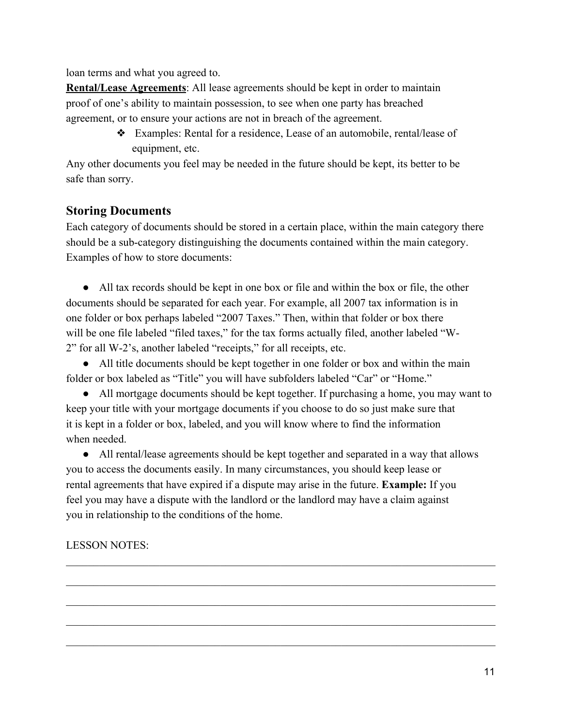loan terms and what you agreed to.

**Rental/Lease Agreements**: All lease agreements should be kept in order to maintain proof of one's ability to maintain possession, to see when one party has breached agreement, or to ensure your actions are not in breach of the agreement.

> ❖ Examples: Rental for a residence, Lease of an automobile, rental/lease of equipment, etc.

Any other documents you feel may be needed in the future should be kept, its better to be safe than sorry.

#### **Storing Documents**

Each category of documents should be stored in a certain place, within the main category there should be a sub-category distinguishing the documents contained within the main category. Examples of how to store documents:

● All tax records should be kept in one box or file and within the box or file, the other documents should be separated for each year. For example, all 2007 tax information is in one folder or box perhaps labeled "2007 Taxes." Then, within that folder or box there will be one file labeled "filed taxes," for the tax forms actually filed, another labeled "W-2" for all W-2's, another labeled "receipts," for all receipts, etc.

• All title documents should be kept together in one folder or box and within the main folder or box labeled as "Title" you will have subfolders labeled "Car" or "Home."

• All mortgage documents should be kept together. If purchasing a home, you may want to keep your title with your mortgage documents if you choose to do so just make sure that it is kept in a folder or box, labeled, and you will know where to find the information when needed.

• All rental/lease agreements should be kept together and separated in a way that allows you to access the documents easily. In many circumstances, you should keep lease or rental agreements that have expired if a dispute may arise in the future. **Example:** If you feel you may have a dispute with the landlord or the landlord may have a claim against you in relationship to the conditions of the home.

 $\mathcal{L}_\mathcal{L} = \{ \mathcal{L}_\mathcal{L} = \{ \mathcal{L}_\mathcal{L} = \{ \mathcal{L}_\mathcal{L} = \{ \mathcal{L}_\mathcal{L} = \{ \mathcal{L}_\mathcal{L} = \{ \mathcal{L}_\mathcal{L} = \{ \mathcal{L}_\mathcal{L} = \{ \mathcal{L}_\mathcal{L} = \{ \mathcal{L}_\mathcal{L} = \{ \mathcal{L}_\mathcal{L} = \{ \mathcal{L}_\mathcal{L} = \{ \mathcal{L}_\mathcal{L} = \{ \mathcal{L}_\mathcal{L} = \{ \mathcal{L}_\mathcal{$ 

 $\mathcal{L}_\mathcal{L} = \{ \mathcal{L}_\mathcal{L} = \{ \mathcal{L}_\mathcal{L} = \{ \mathcal{L}_\mathcal{L} = \{ \mathcal{L}_\mathcal{L} = \{ \mathcal{L}_\mathcal{L} = \{ \mathcal{L}_\mathcal{L} = \{ \mathcal{L}_\mathcal{L} = \{ \mathcal{L}_\mathcal{L} = \{ \mathcal{L}_\mathcal{L} = \{ \mathcal{L}_\mathcal{L} = \{ \mathcal{L}_\mathcal{L} = \{ \mathcal{L}_\mathcal{L} = \{ \mathcal{L}_\mathcal{L} = \{ \mathcal{L}_\mathcal{$ 

 $\mathcal{L}_\mathcal{L} = \{ \mathcal{L}_\mathcal{L} = \{ \mathcal{L}_\mathcal{L} = \{ \mathcal{L}_\mathcal{L} = \{ \mathcal{L}_\mathcal{L} = \{ \mathcal{L}_\mathcal{L} = \{ \mathcal{L}_\mathcal{L} = \{ \mathcal{L}_\mathcal{L} = \{ \mathcal{L}_\mathcal{L} = \{ \mathcal{L}_\mathcal{L} = \{ \mathcal{L}_\mathcal{L} = \{ \mathcal{L}_\mathcal{L} = \{ \mathcal{L}_\mathcal{L} = \{ \mathcal{L}_\mathcal{L} = \{ \mathcal{L}_\mathcal{$ 

 $\mathcal{L}_\mathcal{L} = \{ \mathcal{L}_\mathcal{L} = \{ \mathcal{L}_\mathcal{L} = \{ \mathcal{L}_\mathcal{L} = \{ \mathcal{L}_\mathcal{L} = \{ \mathcal{L}_\mathcal{L} = \{ \mathcal{L}_\mathcal{L} = \{ \mathcal{L}_\mathcal{L} = \{ \mathcal{L}_\mathcal{L} = \{ \mathcal{L}_\mathcal{L} = \{ \mathcal{L}_\mathcal{L} = \{ \mathcal{L}_\mathcal{L} = \{ \mathcal{L}_\mathcal{L} = \{ \mathcal{L}_\mathcal{L} = \{ \mathcal{L}_\mathcal{$ 

 $\mathcal{L}_\mathcal{L} = \{ \mathcal{L}_\mathcal{L} = \{ \mathcal{L}_\mathcal{L} = \{ \mathcal{L}_\mathcal{L} = \{ \mathcal{L}_\mathcal{L} = \{ \mathcal{L}_\mathcal{L} = \{ \mathcal{L}_\mathcal{L} = \{ \mathcal{L}_\mathcal{L} = \{ \mathcal{L}_\mathcal{L} = \{ \mathcal{L}_\mathcal{L} = \{ \mathcal{L}_\mathcal{L} = \{ \mathcal{L}_\mathcal{L} = \{ \mathcal{L}_\mathcal{L} = \{ \mathcal{L}_\mathcal{L} = \{ \mathcal{L}_\mathcal{$ 

#### LESSON NOTES: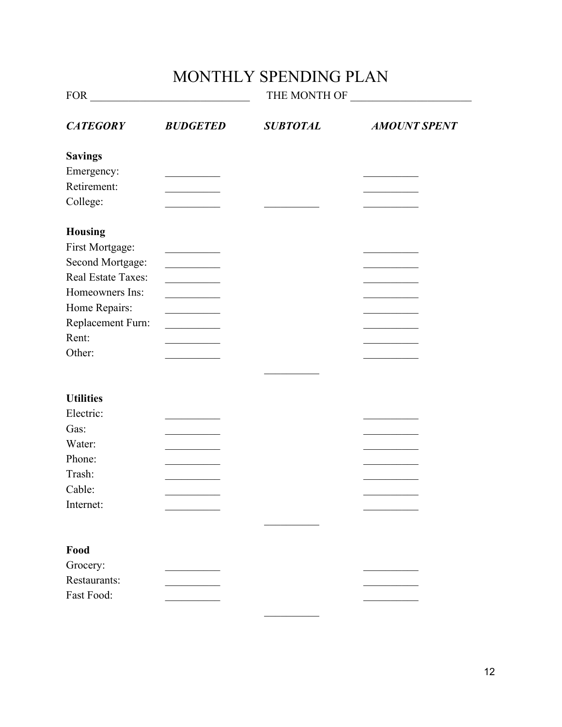# MONTHLY SPENDING PLAN

| FOR THE RESIDENCE OF THE RESIDENCE OF THE RESIDENCE OF THE RESIDENCE OF THE RESIDENCE OF THE RESIDENCE OF THE RESIDENCE OF THE RESIDENCE OF THE RESIDENCE OF THE RESIDENCE OF THE RESIDENCE OF THE RESIDENCE OF THE RESIDENCE |                 | THE MONTH OF    |                     |
|-------------------------------------------------------------------------------------------------------------------------------------------------------------------------------------------------------------------------------|-----------------|-----------------|---------------------|
| <b>CATEGORY</b>                                                                                                                                                                                                               | <b>BUDGETED</b> | <b>SUBTOTAL</b> | <b>AMOUNT SPENT</b> |
| <b>Savings</b>                                                                                                                                                                                                                |                 |                 |                     |
| Emergency:                                                                                                                                                                                                                    |                 |                 |                     |
| Retirement:                                                                                                                                                                                                                   |                 |                 |                     |
| College:                                                                                                                                                                                                                      |                 |                 |                     |
| <b>Housing</b>                                                                                                                                                                                                                |                 |                 |                     |
| First Mortgage:                                                                                                                                                                                                               |                 |                 |                     |
| Second Mortgage:                                                                                                                                                                                                              |                 |                 |                     |
| Real Estate Taxes:                                                                                                                                                                                                            |                 |                 |                     |
| Homeowners Ins:                                                                                                                                                                                                               |                 |                 |                     |
| Home Repairs:                                                                                                                                                                                                                 |                 |                 |                     |
| Replacement Furn:                                                                                                                                                                                                             |                 |                 |                     |
| Rent:                                                                                                                                                                                                                         |                 |                 |                     |
| Other:                                                                                                                                                                                                                        |                 |                 |                     |
|                                                                                                                                                                                                                               |                 |                 |                     |
|                                                                                                                                                                                                                               |                 |                 |                     |
| <b>Utilities</b>                                                                                                                                                                                                              |                 |                 |                     |
| Electric:                                                                                                                                                                                                                     |                 |                 |                     |
| Gas:                                                                                                                                                                                                                          |                 |                 |                     |
| Water:                                                                                                                                                                                                                        |                 |                 |                     |
| Phone:                                                                                                                                                                                                                        |                 |                 |                     |
| Trash:                                                                                                                                                                                                                        |                 |                 |                     |
| Cable:                                                                                                                                                                                                                        |                 |                 |                     |
| Internet:                                                                                                                                                                                                                     |                 |                 |                     |
|                                                                                                                                                                                                                               |                 |                 |                     |
| Food                                                                                                                                                                                                                          |                 |                 |                     |
| Grocery:                                                                                                                                                                                                                      |                 |                 |                     |
| Restaurants:                                                                                                                                                                                                                  |                 |                 |                     |
| Fast Food:                                                                                                                                                                                                                    |                 |                 |                     |

 $\frac{1}{2}$